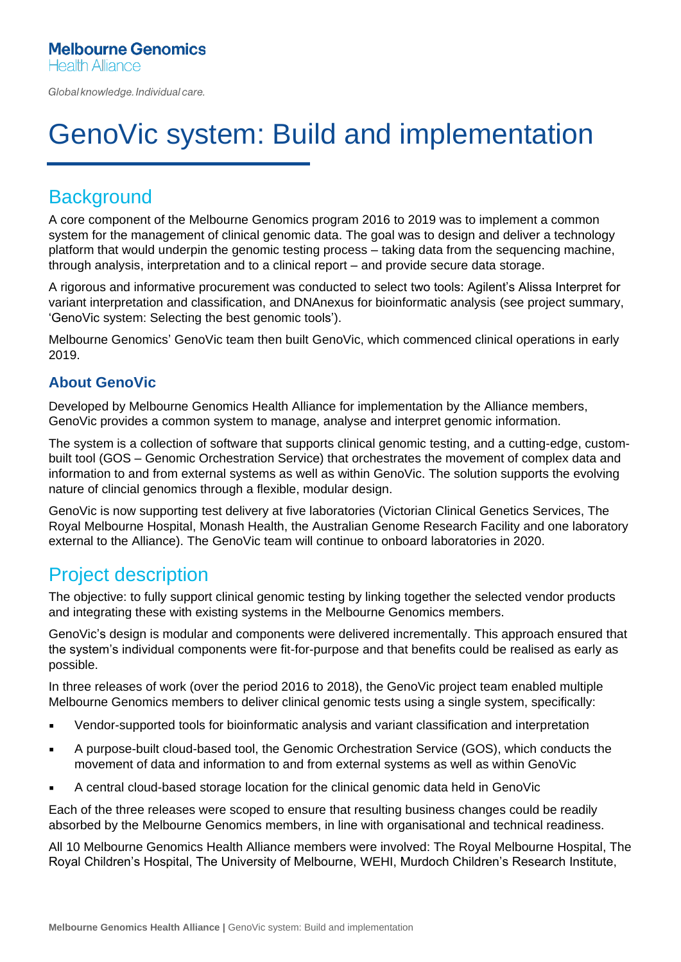Global knowledge. Individual care.

# GenoVic system: Build and implementation

## **Background**

A core component of the Melbourne Genomics program 2016 to 2019 was to implement a common system for the management of clinical genomic data. The goal was to design and deliver a technology platform that would underpin the genomic testing process – taking data from the sequencing machine, through analysis, interpretation and to a clinical report – and provide secure data storage.

A rigorous and informative procurement was conducted to select two tools: Agilent's Alissa Interpret for variant interpretation and classification, and DNAnexus for bioinformatic analysis (see project summary, 'GenoVic system: Selecting the best genomic tools').

Melbourne Genomics' GenoVic team then built GenoVic, which commenced clinical operations in early 2019.

#### **About GenoVic**

Developed by Melbourne Genomics Health Alliance for implementation by the Alliance members, GenoVic provides a common system to manage, analyse and interpret genomic information.

The system is a collection of software that supports clinical genomic testing, and a cutting-edge, custombuilt tool (GOS – Genomic Orchestration Service) that orchestrates the movement of complex data and information to and from external systems as well as within GenoVic. The solution supports the evolving nature of clincial genomics through a flexible, modular design.

GenoVic is now supporting test delivery at five laboratories (Victorian Clinical Genetics Services, The Royal Melbourne Hospital, Monash Health, the Australian Genome Research Facility and one laboratory external to the Alliance). The GenoVic team will continue to onboard laboratories in 2020.

#### Project description

The objective: to fully support clinical genomic testing by linking together the selected vendor products and integrating these with existing systems in the Melbourne Genomics members.

GenoVic's design is modular and components were delivered incrementally. This approach ensured that the system's individual components were fit-for-purpose and that benefits could be realised as early as possible.

In three releases of work (over the period 2016 to 2018), the GenoVic project team enabled multiple Melbourne Genomics members to deliver clinical genomic tests using a single system, specifically:

- Vendor-supported tools for bioinformatic analysis and variant classification and interpretation
- A purpose-built cloud-based tool, the Genomic Orchestration Service (GOS), which conducts the movement of data and information to and from external systems as well as within GenoVic
- A central cloud-based storage location for the clinical genomic data held in GenoVic

Each of the three releases were scoped to ensure that resulting business changes could be readily absorbed by the Melbourne Genomics members, in line with organisational and technical readiness.

All 10 Melbourne Genomics Health Alliance members were involved: The Royal Melbourne Hospital, The Royal Children's Hospital, The University of Melbourne, WEHI, Murdoch Children's Research Institute,